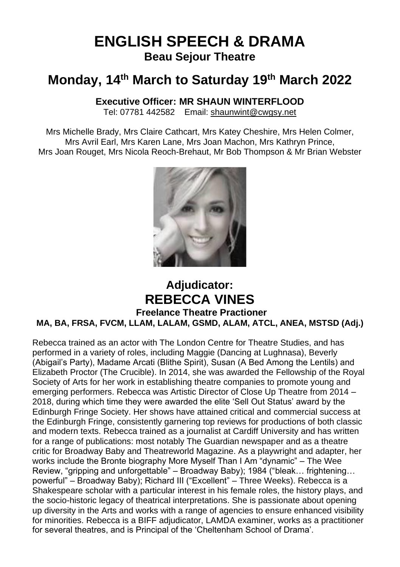# **ENGLISH SPEECH & DRAMA Beau Sejour Theatre**

# **Monday, 14 th March to Saturday 19th March 2022**

# **Executive Officer: MR SHAUN WINTERFLOOD**

Tel: 07781 442582 Email: [shaunwint@cwgsy.net](mailto:shaunwint@cwgsy.net)

Mrs Michelle Brady, Mrs Claire Cathcart, Mrs Katey Cheshire, Mrs Helen Colmer, Mrs Avril Earl, Mrs Karen Lane, Mrs Joan Machon, Mrs Kathryn Prince, Mrs Joan Rouget, Mrs Nicola Reoch-Brehaut, Mr Bob Thompson & Mr Brian Webster



# **Adjudicator: REBECCA VINES Freelance Theatre Practioner MA, BA, FRSA, FVCM, LLAM, LALAM, GSMD, ALAM, ATCL, ANEA, MSTSD (Adj.)**

Rebecca trained as an actor with The London Centre for Theatre Studies, and has performed in a variety of roles, including Maggie (Dancing at Lughnasa), Beverly (Abigail's Party), Madame Arcati (Blithe Spirit), Susan (A Bed Among the Lentils) and Elizabeth Proctor (The Crucible). In 2014, she was awarded the Fellowship of the Royal Society of Arts for her work in establishing theatre companies to promote young and emerging performers. Rebecca was Artistic Director of Close Up Theatre from 2014 – 2018, during which time they were awarded the elite 'Sell Out Status' award by the Edinburgh Fringe Society. Her shows have attained critical and commercial success at the Edinburgh Fringe, consistently garnering top reviews for productions of both classic and modern texts. Rebecca trained as a journalist at Cardiff University and has written for a range of publications: most notably The Guardian newspaper and as a theatre critic for Broadway Baby and Theatreworld Magazine. As a playwright and adapter, her works include the Bronte biography More Myself Than I Am "dynamic" – The Wee Review, "gripping and unforgettable" – Broadway Baby); 1984 ("bleak… frightening… powerful" – Broadway Baby); Richard III ("Excellent" – Three Weeks). Rebecca is a Shakespeare scholar with a particular interest in his female roles, the history plays, and the socio-historic legacy of theatrical interpretations. She is passionate about opening up diversity in the Arts and works with a range of agencies to ensure enhanced visibility for minorities. Rebecca is a BIFF adjudicator, LAMDA examiner, works as a practitioner for several theatres, and is Principal of the 'Cheltenham School of Drama'.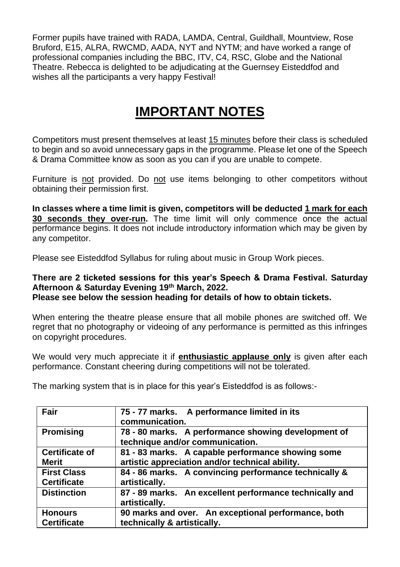Former pupils have trained with RADA, LAMDA, Central, Guildhall, Mountview, Rose Bruford, E15, ALRA, RWCMD, AADA, NYT and NYTM; and have worked a range of professional companies including the BBC, ITV, C4, RSC, Globe and the National Theatre. Rebecca is delighted to be adjudicating at the Guernsey Eisteddfod and wishes all the participants a very happy Festival!

# **IMPORTANT NOTES**

Competitors must present themselves at least 15 minutes before their class is scheduled to begin and so avoid unnecessary gaps in the programme. Please let one of the Speech & Drama Committee know as soon as you can if you are unable to compete.

Furniture is not provided. Do not use items belonging to other competitors without obtaining their permission first.

**In classes where a time limit is given, competitors will be deducted 1 mark for each 30 seconds they over-run.** The time limit will only commence once the actual performance begins. It does not include introductory information which may be given by any competitor.

Please see Eisteddfod Syllabus for ruling about music in Group Work pieces.

# **There are 2 ticketed sessions for this year's Speech & Drama Festival. Saturday Afternoon & Saturday Evening 19th March, 2022.**

**Please see below the session heading for details of how to obtain tickets.**

When entering the theatre please ensure that all mobile phones are switched off. We regret that no photography or videoing of any performance is permitted as this infringes on copyright procedures.

We would very much appreciate it if **enthusiastic applause only** is given after each performance. Constant cheering during competitions will not be tolerated.

| Fair                  | 75 - 77 marks. A performance limited in its                              |
|-----------------------|--------------------------------------------------------------------------|
|                       | communication.                                                           |
| <b>Promising</b>      | 78 - 80 marks. A performance showing development of                      |
|                       | technique and/or communication.                                          |
| <b>Certificate of</b> | 81 - 83 marks. A capable performance showing some                        |
| <b>Merit</b>          | artistic appreciation and/or technical ability.                          |
| <b>First Class</b>    | 84 - 86 marks. A convincing performance technically &                    |
| <b>Certificate</b>    | artistically.                                                            |
| <b>Distinction</b>    | 87 - 89 marks. An excellent performance technically and<br>artistically. |
| <b>Honours</b>        | 90 marks and over. An exceptional performance, both                      |
| <b>Certificate</b>    | technically & artistically.                                              |

The marking system that is in place for this year's Eisteddfod is as follows:-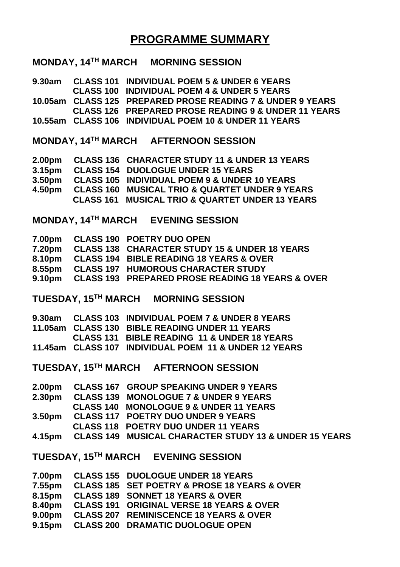# **PROGRAMME SUMMARY**

# **MONDAY, 14TH MARCH MORNING SESSION**

**9.30am CLASS 101 INDIVIDUAL POEM 5 & UNDER 6 YEARS CLASS 100 INDIVIDUAL POEM 4 & UNDER 5 YEARS 10.05am CLASS 125 PREPARED PROSE READING 7 & UNDER 9 YEARS CLASS 126 PREPARED PROSE READING 9 & UNDER 11 YEARS 10.55am CLASS 106 INDIVIDUAL POEM 10 & UNDER 11 YEARS**

**MONDAY, 14TH MARCH AFTERNOON SESSION**

| 2.00 <sub>pm</sub> | CLASS 136 CHARACTER STUDY 11 & UNDER 13 YEARS              |
|--------------------|------------------------------------------------------------|
| 3.15 <sub>pm</sub> | CLASS 154 DUOLOGUE UNDER 15 YEARS                          |
| 3.50 <sub>pm</sub> | <b>CLASS 105 INDIVIDUAL POEM 9 &amp; UNDER 10 YEARS</b>    |
| 4.50pm             | <b>CLASS 160 MUSICAL TRIO &amp; QUARTET UNDER 9 YEARS</b>  |
|                    | <b>CLASS 161 MUSICAL TRIO &amp; QUARTET UNDER 13 YEARS</b> |

**MONDAY, 14TH MARCH EVENING SESSION** 

| 7.00pm CLASS 190 POETRY DUO OPEN                        |
|---------------------------------------------------------|
| 7.20pm CLASS 138 CHARACTER STUDY 15 & UNDER 18 YEARS    |
| 8.10pm CLASS 194 BIBLE READING 18 YEARS & OVER          |
| 8.55pm CLASS 197 HUMOROUS CHARACTER STUDY               |
| 9.10pm CLASS 193 PREPARED PROSE READING 18 YEARS & OVER |
|                                                         |

**TUESDAY, 15TH MARCH MORNING SESSION**

|  | 9.30am CLASS 103 INDIVIDUAL POEM 7 & UNDER 8 YEARS    |
|--|-------------------------------------------------------|
|  | 11.05am CLASS 130 BIBLE READING UNDER 11 YEARS        |
|  | CLASS 131 BIBLE READING 11 & UNDER 18 YEARS           |
|  | 11.45am CLASS 107 INDIVIDUAL POEM 11 & UNDER 12 YEARS |

**TUESDAY, 15TH MARCH AFTERNOON SESSION**

|  | 2.00pm CLASS 167 GROUP SPEAKING UNDER 9 YEARS                |
|--|--------------------------------------------------------------|
|  | 2.30pm CLASS 139 MONOLOGUE 7 & UNDER 9 YEARS                 |
|  | CLASS 140 MONOLOGUE 9 & UNDER 11 YEARS                       |
|  | 3.50pm CLASS 117 POETRY DUO UNDER 9 YEARS                    |
|  | <b>CLASS 118 POETRY DUO UNDER 11 YEARS</b>                   |
|  | 4.15pm CLASS 149 MUSICAL CHARACTER STUDY 13 & UNDER 15 YEARS |
|  |                                                              |

**TUESDAY, 15TH MARCH EVENING SESSION**

|                    | 7.00pm CLASS 155 DUOLOGUE UNDER 18 YEARS                    |
|--------------------|-------------------------------------------------------------|
| 7.55pm             | <b>CLASS 185 SET POETRY &amp; PROSE 18 YEARS &amp; OVER</b> |
| 8.15pm             | <b>CLASS 189 SONNET 18 YEARS &amp; OVER</b>                 |
| 8.40pm             | <b>CLASS 191 ORIGINAL VERSE 18 YEARS &amp; OVER</b>         |
| 9.00 <sub>pm</sub> | <b>CLASS 207 REMINISCENCE 18 YEARS &amp; OVER</b>           |
| 9.15pm             | <b>CLASS 200 DRAMATIC DUOLOGUE OPEN</b>                     |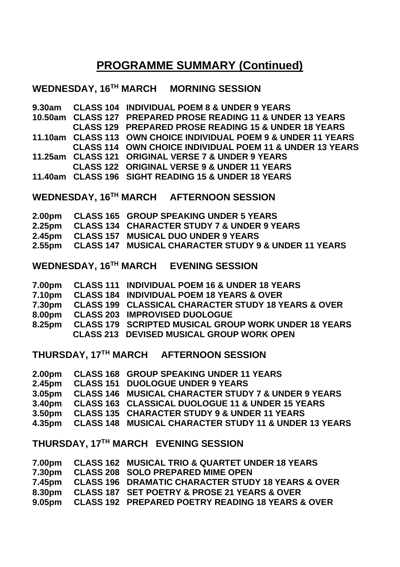# **PROGRAMME SUMMARY (Continued)**

# **WEDNESDAY, 16TH MARCH MORNING SESSION**

|  | 9.30am CLASS 104 INDIVIDUAL POEM 8 & UNDER 9 YEARS              |
|--|-----------------------------------------------------------------|
|  | 10.50am CLASS 127 PREPARED PROSE READING 11 & UNDER 13 YEARS    |
|  | <b>CLASS 129 PREPARED PROSE READING 15 &amp; UNDER 18 YEARS</b> |
|  | 11.10am CLASS 113 OWN CHOICE INDIVIDUAL POEM 9 & UNDER 11 YEARS |
|  | CLASS 114 OWN CHOICE INDIVIDUAL POEM 11 & UNDER 13 YEARS        |
|  | 11.25am CLASS 121 ORIGINAL VERSE 7 & UNDER 9 YEARS              |
|  | <b>CLASS 122 ORIGINAL VERSE 9 &amp; UNDER 11 YEARS</b>          |
|  | 11.40am CLASS 196 SIGHT READING 15 & UNDER 18 YEARS             |
|  |                                                                 |

# **WEDNESDAY, 16TH MARCH AFTERNOON SESSION**

|  | 2.00pm CLASS 165 GROUP SPEAKING UNDER 5 YEARS               |
|--|-------------------------------------------------------------|
|  | 2.25pm CLASS 134 CHARACTER STUDY 7 & UNDER 9 YEARS          |
|  | 2.45pm CLASS 157 MUSICAL DUO UNDER 9 YEARS                  |
|  | 2.55pm CLASS 147 MUSICAL CHARACTER STUDY 9 & UNDER 11 YEARS |

# **WEDNESDAY, 16TH MARCH EVENING SESSION**

| 7.00pm | CLASS 111 INDIVIDUAL POEM 16 & UNDER 18 YEARS               |
|--------|-------------------------------------------------------------|
|        | 7.10pm CLASS 184 INDIVIDUAL POEM 18 YEARS & OVER            |
|        | 7.30pm  CLASS 199 CLASSICAL CHARACTER STUDY 18 YEARS & OVER |
|        | 8.00pm CLASS 203 IMPROVISED DUOLOGUE                        |
|        | 8.25pm CLASS 179 SCRIPTED MUSICAL GROUP WORK UNDER 18 YEARS |
|        | <b>CLASS 213 DEVISED MUSICAL GROUP WORK OPEN</b>            |

**THURSDAY, 17TH MARCH AFTERNOON SESSION**

|  | 2.00pm CLASS 168 GROUP SPEAKING UNDER 11 YEARS                |
|--|---------------------------------------------------------------|
|  | 2.45pm CLASS 151 DUOLOGUE UNDER 9 YEARS                       |
|  | 3.05pm CLASS 146 MUSICAL CHARACTER STUDY 7 & UNDER 9 YEARS    |
|  | 3.40pm CLASS 163 CLASSICAL DUOLOGUE 11 & UNDER 15 YEARS       |
|  | 3.50pm CLASS 135 CHARACTER STUDY 9 & UNDER 11 YEARS           |
|  | 4.35pm  CLASS 148 MUSICAL CHARACTER STUDY 11 & UNDER 13 YEARS |
|  |                                                               |

# **THURSDAY, 17TH MARCH EVENING SESSION**

|  | 7.30pm CLASS 208 SOLO PREPARED MIME OPEN                   |
|--|------------------------------------------------------------|
|  | 7.45pm  CLASS 196 DRAMATIC CHARACTER STUDY 18 YEARS & OVER |
|  | 8.30pm CLASS 187 SET POETRY & PROSE 21 YEARS & OVER        |
|  | 9.05pm CLASS 192 PREPARED POETRY READING 18 YEARS & OVER   |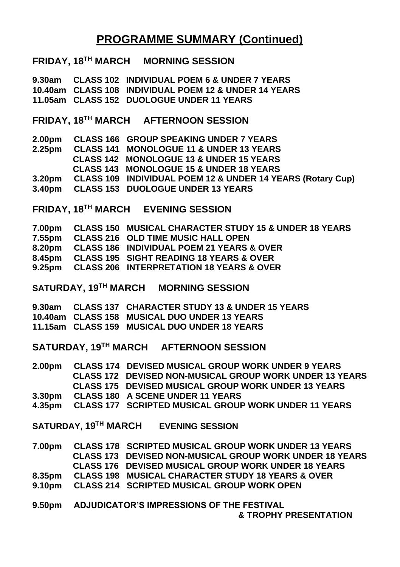# **PROGRAMME SUMMARY (Continued)**

# **FRIDAY, 18TH MARCH MORNING SESSION**

**9.30am CLASS 102 INDIVIDUAL POEM 6 & UNDER 7 YEARS 10.40am CLASS 108 INDIVIDUAL POEM 12 & UNDER 14 YEARS 11.05am CLASS 152 DUOLOGUE UNDER 11 YEARS**

**FRIDAY, 18TH MARCH AFTERNOON SESSION**

| <b>CLASS 166 GROUP SPEAKING UNDER 7 YEARS</b>              |
|------------------------------------------------------------|
| <b>CLASS 141 MONOLOGUE 11 &amp; UNDER 13 YEARS</b>         |
| <b>CLASS 142 MONOLOGUE 13 &amp; UNDER 15 YEARS</b>         |
| CLASS 143 MONOLOGUE 15 & UNDER 18 YEARS                    |
| CLASS 109 INDIVIDUAL POEM 12 & UNDER 14 YEARS (Rotary Cup) |
| 3.40pm CLASS 153 DUOLOGUE UNDER 13 YEARS                   |
|                                                            |

**FRIDAY, 18TH MARCH EVENING SESSION**

|  | 7.00pm CLASS 150 MUSICAL CHARACTER STUDY 15 & UNDER 18 YEARS |
|--|--------------------------------------------------------------|
|  | 7.55pm CLASS 216 OLD TIME MUSIC HALL OPEN                    |
|  | 8.20pm CLASS 186 INDIVIDUAL POEM 21 YEARS & OVER             |
|  | 8.45pm CLASS 195 SIGHT READING 18 YEARS & OVER               |
|  | 9.25pm CLASS 206 INTERPRETATION 18 YEARS & OVER              |

**SATURDAY, 19TH MARCH MORNING SESSION**

|  | 9.30am CLASS 137 CHARACTER STUDY 13 & UNDER 15 YEARS |
|--|------------------------------------------------------|
|  | 10.40am CLASS 158 MUSICAL DUO UNDER 13 YEARS         |
|  | 11.15am CLASS 159 MUSICAL DUO UNDER 18 YEARS         |

**SATURDAY, 19TH MARCH AFTERNOON SESSION**

| 2.00 <sub>pm</sub> | <b>CLASS 174 DEVISED MUSICAL GROUP WORK UNDER 9 YEARS</b>      |
|--------------------|----------------------------------------------------------------|
|                    | <b>CLASS 172 DEVISED NON-MUSICAL GROUP WORK UNDER 13 YEARS</b> |
|                    | <b>CLASS 175 DEVISED MUSICAL GROUP WORK UNDER 13 YEARS</b>     |
| 3.30pm             | CLASS 180 A SCENE UNDER 11 YEARS                               |
| 4.35pm             | CLASS 177 SCRIPTED MUSICAL GROUP WORK UNDER 11 YEARS           |

**SATURDAY, 19TH MARCH EVENING SESSION**

| 7.00pm | <b>CLASS 178 SCRIPTED MUSICAL GROUP WORK UNDER 13 YEARS</b>    |
|--------|----------------------------------------------------------------|
|        | <b>CLASS 173 DEVISED NON-MUSICAL GROUP WORK UNDER 18 YEARS</b> |
|        | <b>CLASS 176 DEVISED MUSICAL GROUP WORK UNDER 18 YEARS</b>     |
| 8.35pm | <b>CLASS 198 MUSICAL CHARACTER STUDY 18 YEARS &amp; OVER</b>   |
| 9.10pm | <b>CLASS 214 SCRIPTED MUSICAL GROUP WORK OPEN</b>              |
|        | 9.50pm ADJUDICATOR'S IMPRESSIONS OF THE FESTIVAL               |

**& TROPHY PRESENTATION**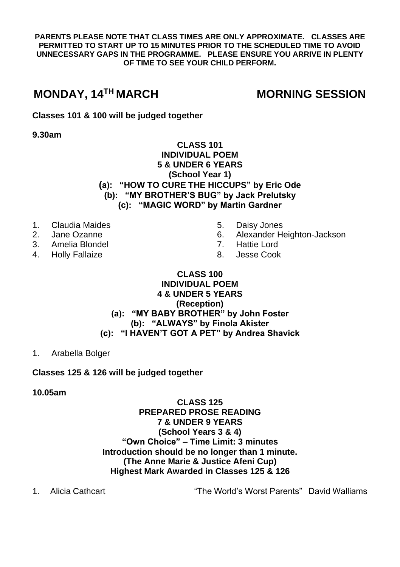**PARENTS PLEASE NOTE THAT CLASS TIMES ARE ONLY APPROXIMATE. CLASSES ARE PERMITTED TO START UP TO 15 MINUTES PRIOR TO THE SCHEDULED TIME TO AVOID UNNECESSARY GAPS IN THE PROGRAMME. PLEASE ENSURE YOU ARRIVE IN PLENTY OF TIME TO SEE YOUR CHILD PERFORM.**

# **MONDAY, 14**

# **MORNING SESSION**

**Classes 101 & 100 will be judged together**

**9.30am**

# **CLASS 101 INDIVIDUAL POEM 5 & UNDER 6 YEARS (School Year 1) (a): "HOW TO CURE THE HICCUPS" by Eric Ode (b): "MY BROTHER'S BUG" by Jack Prelutsky (c): "MAGIC WORD" by Martin Gardner**

- 1. Claudia Maides
- 2. Jane Ozanne
- 3. Amelia Blondel
- 4. Holly Fallaize
- 5. Daisy Jones<br>6. Alexander He
	- 6. Alexander Heighton-Jackson
- 7. Hattie Lord
- 8. Jesse Cook

# **CLASS 100 INDIVIDUAL POEM 4 & UNDER 5 YEARS (Reception) (a): "MY BABY BROTHER" by John Foster (b): "ALWAYS" by Finola Akister (c): "I HAVEN'T GOT A PET" by Andrea Shavick**

1. Arabella Bolger

# **Classes 125 & 126 will be judged together**

# **10.05am**

# **CLASS 125 PREPARED PROSE READING 7 & UNDER 9 YEARS (School Years 3 & 4) "Own Choice" – Time Limit: 3 minutes Introduction should be no longer than 1 minute. (The Anne Marie & Justice Afeni Cup) Highest Mark Awarded in Classes 125 & 126**

1. Alicia Cathcart "The World's Worst Parents" David Walliams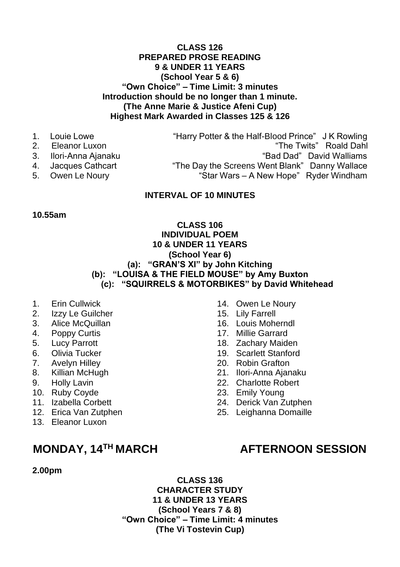# **CLASS 126 PREPARED PROSE READING 9 & UNDER 11 YEARS (School Year 5 & 6) "Own Choice" – Time Limit: 3 minutes Introduction should be no longer than 1 minute. (The Anne Marie & Justice Afeni Cup) Highest Mark Awarded in Classes 125 & 126**

- 
- 
- 
- 
- 

1. Louie Lowe "Harry Potter & the Half-Blood Prince" J K Rowling 2. Eleanor Luxon "The Twits" Roald Dahl 3. Ilori-Anna Ajanaku "Bad Dad" David Walliams 4. Jacques Cathcart "The Day the Screens Went Blank" Danny Wallace<br>5. Owen Le Noury "Star Wars – A New Hope" Ryder Windham "Star Wars – A New Hope" Ryder Windham

## **INTERVAL OF 10 MINUTES**

#### **10.55am**

## **CLASS 106 INDIVIDUAL POEM 10 & UNDER 11 YEARS (School Year 6) (a): "GRAN'S XI" by John Kitching (b): "LOUISA & THE FIELD MOUSE" by Amy Buxton (c): "SQUIRRELS & MOTORBIKES" by David Whitehead**

- 1. Erin Cullwick
- 2. Izzy Le Guilcher
- 3. Alice McQuillan
- 4. Poppy Curtis
- 5. Lucy Parrott
- 6. Olivia Tucker
- 7. Avelyn Hilley
- 8. Killian McHugh
- 9. Holly Lavin
- 10. Ruby Coyde
- 11. Izabella Corbett
- 12. Erica Van Zutphen
- 13. Eleanor Luxon

# **MONDAY, 14**

# **2.00pm**

**CLASS 136 CHARACTER STUDY 11 & UNDER 13 YEARS (School Years 7 & 8) "Own Choice" – Time Limit: 4 minutes (The Vi Tostevin Cup)**

#### 14. Owen Le Noury

- 15. Lily Farrell
- 16. Louis Moherndl
- 17. Millie Garrard
- 18. Zachary Maiden
- 19. Scarlett Stanford
- 20. Robin Grafton
- 21. Ilori-Anna Ajanaku
- 22. Charlotte Robert
- 23. Emily Young
- 24. Derick Van Zutphen
- 25. Leighanna Domaille

# **AFTERNOON SESSION**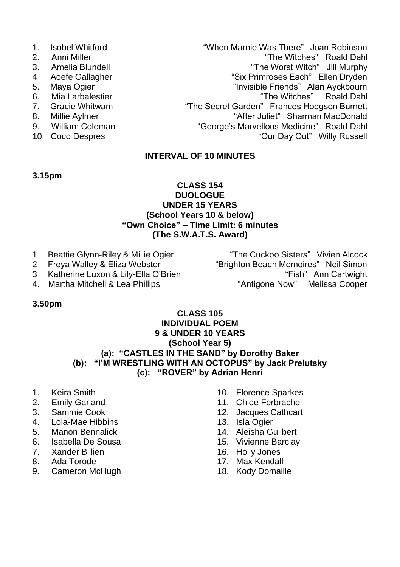- 
- 
- 
- 
- 
- 
- 
- 
- 
- 

1. Isobel Whitford **1. Isobel Whitford** "When Marnie Was There" Joan Robinson<br>2. Anni Miller "The Witches" Roald Dahl 2. Anni Miller "The Witches" Roald Dahl 3. Amelia Blundell "The Worst Witch" Jill Murphy<br>4 Aoefe Gallagher "The "Six Primroses Each" Ellen Dryden 4 Aoefe Gallagher "Six Primroses Each" Ellen Dryden<br>5. Maya Ogier "Six Primroses Each" Ellen Dryden 5. Maya Ogier "Invisible Friends" Alan Ayckbourn<br>6. Mia Larbalestier "In the Witches" Roald Dabl 6. Mia Larbalestier "The Witches" Roald Dahl "The Secret Garden" Frances Hodgson Burnett 8. Millie Aylmer "After Juliet" Sharman MacDonald<br>19. William Coleman "After Juliet" Sharman MacDonald Dahl 9. William Coleman "George's Marvellous Medicine" Roald Dahl "Our Day Out" Willy Russell

# **INTERVAL OF 10 MINUTES**

#### **3.15pm**

## **CLASS 154 DUOLOGUE UNDER 15 YEARS (School Years 10 & below) "Own Choice" – Time Limit: 6 minutes (The S.W.A.T.S. Award)**

- 
- 
- 
- 

1 Beattie Glynn-Riley & Millie Ogier **The Cuckoo Sisters"** Vivien Alcock<br>2 Freva Walley & Eliza Webster **1998** "Brighton Beach Memoires" Neil Simon "Brighton Beach Memoires" Neil Simon 3 Katherine Luxon & Lily-Ella O'Brien "Fish" Ann Cartwight 4. Martha Mitchell & Lea Phillips "Antigone Now" Melissa Cooper

# **3.50pm**

## **CLASS 105 INDIVIDUAL POEM 9 & UNDER 10 YEARS (School Year 5) (a): "CASTLES IN THE SAND" by Dorothy Baker (b): "I'M WRESTLING WITH AN OCTOPUS" by Jack Prelutsky (c): "ROVER" by Adrian Henri**

- 1. Keira Smith
- 2. Emily Garland<br>3. Sammie Cook
- 3. Sammie Cook
- 4. Lola-Mae Hibbins
- 5. Manon Bennalick
- 6. Isabella De Sousa
- 7. Xander Billien
- 8. Ada Torode
- 9. Cameron McHugh
- 10. Florence Sparkes
- 11. Chloe Ferbrache
- 12. Jacques Cathcart
- 13. Isla Ogier
- 14. Aleisha Guilbert
- 15. Vivienne Barclay
- 16. Holly Jones
- 17. Max Kendall
- 18. Kody Domaille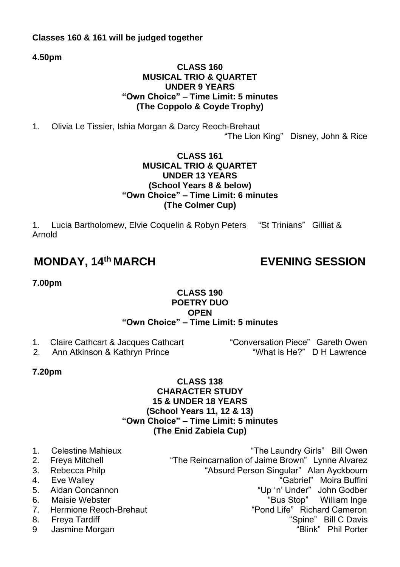# **Classes 160 & 161 will be judged together**

**4.50pm**

# **CLASS 160 MUSICAL TRIO & QUARTET UNDER 9 YEARS "Own Choice" – Time Limit: 5 minutes (The Coppolo & Coyde Trophy)**

1. Olivia Le Tissier, Ishia Morgan & Darcy Reoch-Brehaut

"The Lion King" Disney, John & Rice

# **CLASS 161 MUSICAL TRIO & QUARTET UNDER 13 YEARS (School Years 8 & below) "Own Choice" – Time Limit: 6 minutes (The Colmer Cup)**

1. Lucia Bartholomew, Elvie Coquelin & Robyn Peters "St Trinians" Gilliat & Arnold

# **MONDAY, 14th MARCH EVENING SESSION**

**7.00pm**

# **CLASS 190 POETRY DUO OPEN**

# **"Own Choice" – Time Limit: 5 minutes**

2. Ann Atkinson & Kathryn Prince

1. Claire Cathcart & Jacques Cathcart "Conversation Piece" Gareth Owen<br>2. Ann Atkinson & Kathryn Prince "What is He<sup>o"</sup> D.H. Lawrence

# **7.20pm**

# **CLASS 138 CHARACTER STUDY 15 & UNDER 18 YEARS (School Years 11, 12 & 13) "Own Choice" – Time Limit: 5 minutes (The Enid Zabiela Cup)**

1. Celestine Mahieux "The Laundry Girls" Bill Owen 2. Freya Mitchell **The Reincarnation of Jaime Brown**" Lynne Alvarez 3. Rebecca Philp "Absurd Person Singular" Alan Ayckbourn "Gabriel" Moira Buffini 5. Aidan Concannon "Up 'n' Under" John Godber 6. Maisie Webster "Bus Stop" William Inge 7. Hermione Reoch-Brehaut The Terminone Reoch-Brehaut "Pond Life" Richard Cameron 8. Freya Tardiff "Spine" Bill C Davis 9 Jasmine Morgan "Blink" Phil Porter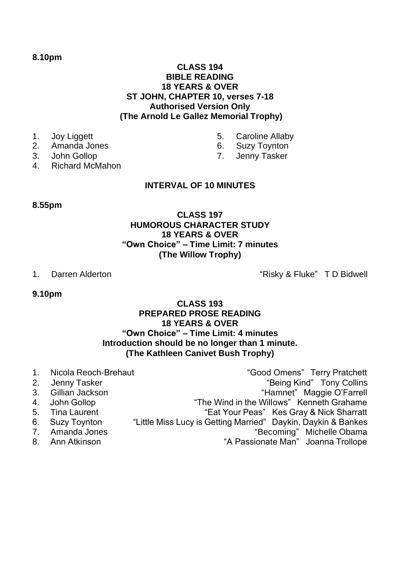#### **8.10pm**

# **CLASS 194 BIBLE READING 18 YEARS & OVER ST JOHN, CHAPTER 10, verses 7-18 Authorised Version Only (The Arnold Le Gallez Memorial Trophy)**

- 1. Joy Liggett
- 2. Amanda Jones
- 3. John Gollop
- 4. Richard McMahon

# **INTERVAL OF 10 MINUTES**

## **8.55pm**

# **CLASS 197 HUMOROUS CHARACTER STUDY 18 YEARS & OVER "Own Choice" – Time Limit: 7 minutes (The Willow Trophy)**

1. Darren Alderton The Controller Controller with the "Risky & Fluke" T D Bidwell

**9.10pm**

# **CLASS 193 PREPARED PROSE READING 18 YEARS & OVER "Own Choice" – Time Limit: 4 minutes Introduction should be no longer than 1 minute. (The Kathleen Canivet Bush Trophy)**

1. Nicola Reoch-Brehaut "Good Omens" Terry Pratchett 2. Jenny Tasker The Collins of the Collins of the Marian School and Tony Collins and Tony Collins 3. Gillian Jackson "Hamnet" Maggie O'Farrell<br>4. John Gollop "The Wind in the Willows" Kenneth Grahame 4. John Gollop "The Wind in the Willows" Kenneth Grahame<br>5. Tina Laurent ""Eat Your Peas" Kes Grav & Nick Sharratt "Eat Your Peas" Kes Gray & Nick Sharratt 6. Suzy Toynton "Little Miss Lucy is Getting Married" Daykin, Daykin & Bankes 7. Amanda Jones "Becoming" Michelle Obama 8. Ann Atkinson **Manual A Passionate Man** Joanna Trollope

- 5. Caroline Allaby
- 6. Suzy Toynton
- 7. Jenny Tasker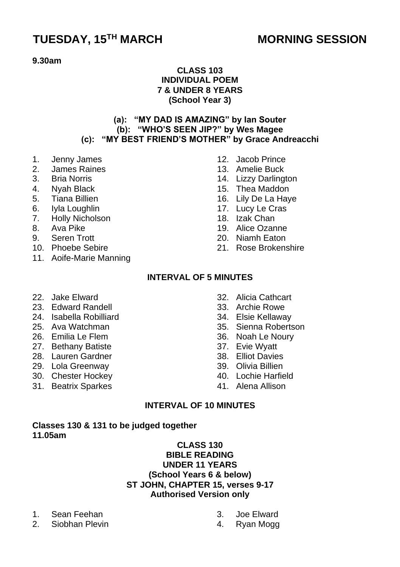# **TUESDAY, 15TH MARCH MORNING SESSION**

#### **9.30am**

# **CLASS 103 INDIVIDUAL POEM 7 & UNDER 8 YEARS (School Year 3)**

# **(a): "MY DAD IS AMAZING" by Ian Souter (b): "WHO'S SEEN JIP?" by Wes Magee (c): "MY BEST FRIEND'S MOTHER" by Grace Andreacchi**

- 1. Jenny James
- 2. James Raines
- 3. Bria Norris
- 4. Nyah Black
- 5. Tiana Billien
- 6. Iyla Loughlin
- 7. Holly Nicholson
- 8. Ava Pike
- 9. Seren Trott
- 10. Phoebe Sebire
- 11. Aoife-Marie Manning
- 12. Jacob Prince
- 13. Amelie Buck
- 14. Lizzy Darlington
- 15. Thea Maddon
- 16. Lily De La Haye
- 17. Lucy Le Cras
- 18. Izak Chan
- 19. Alice Ozanne
- 20. Niamh Eaton
- 21. Rose Brokenshire

# **INTERVAL OF 5 MINUTES**

- 22. Jake Elward
- 23. Edward Randell
- 24. Isabella Robilliard
- 25. Ava Watchman
- 26. Emilia Le Flem
- 27. Bethany Batiste
- 28. Lauren Gardner
- 29. Lola Greenway
- 30. Chester Hockey
- 31. Beatrix Sparkes
- 32. Alicia Cathcart
- 33. Archie Rowe
- 34. Elsie Kellaway
- 35. Sienna Robertson
- 36. Noah Le Noury
- 37. Evie Wyatt
- 38. Elliot Davies
- 39. Olivia Billien
- 40. Lochie Harfield
- 41. Alena Allison

# **INTERVAL OF 10 MINUTES**

#### **Classes 130 & 131 to be judged together 11.05am**

## **CLASS 130 BIBLE READING UNDER 11 YEARS (School Years 6 & below) ST JOHN, CHAPTER 15, verses 9-17 Authorised Version only**

- 1. Sean Feehan
- 2. Siobhan Plevin
- 3. Joe Elward
- 4. Ryan Mogg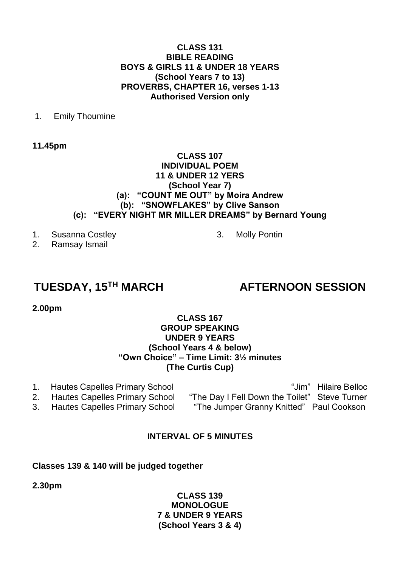## **CLASS 131 BIBLE READING BOYS & GIRLS 11 & UNDER 18 YEARS (School Years 7 to 13) PROVERBS, CHAPTER 16, verses 1-13 Authorised Version only**

## 1. Emily Thoumine

**11.45pm**

#### **CLASS 107 INDIVIDUAL POEM 11 & UNDER 12 YERS (School Year 7) (a): "COUNT ME OUT" by Moira Andrew (b): "SNOWFLAKES" by Clive Sanson (c): "EVERY NIGHT MR MILLER DREAMS" by Bernard Young**

3. Molly Pontin

- 1. Susanna Costley
- 2. Ramsay Ismail

# **TUESDAY, 15TH MARCH AFTERNOON SESSION**

**2.00pm**

## **CLASS 167 GROUP SPEAKING UNDER 9 YEARS (School Years 4 & below) "Own Choice" – Time Limit: 3½ minutes (The Curtis Cup)**

1. Hautes Capelles Primary School "Jim" Hilaire Belloc 2. Hautes Capelles Primary School "The Day I Fell Down the Toilet" Steve Turner 3. Hautes Capelles Primary School "The Jumper Granny Knitted" Paul Cookson

# **INTERVAL OF 5 MINUTES**

# **Classes 139 & 140 will be judged together**

**2.30pm**

# **CLASS 139 MONOLOGUE 7 & UNDER 9 YEARS (School Years 3 & 4)**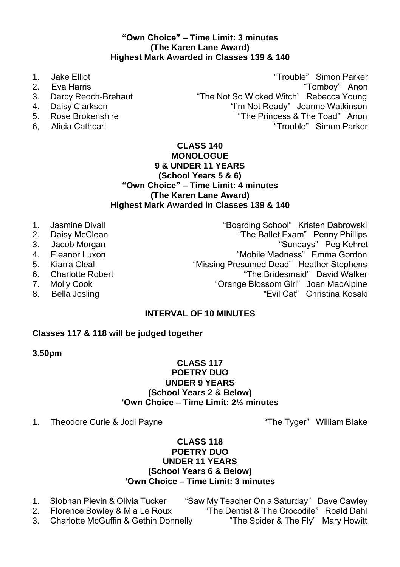# **"Own Choice" – Time Limit: 3 minutes (The Karen Lane Award) Highest Mark Awarded in Classes 139 & 140**

- 
- 
- 
- 
- 
- 

1. Jake Elliot "Trouble" Simon Parker 2. Eva Harris "Tomboy" Anon 3. Darcy Reoch-Brehaut "The Not So Wicked Witch" Rebecca Young 4. Daisy Clarkson **III Clarkson State of Clarkson** "I'm Not Ready" Joanne Watkinson<br>5. Rose Brokenshire **III Clarkson State of the Princess & The Toad**" Anon 5. Rose Brokenshire **The Princess & The Toad** Anon 6. Alicia Cathcart **(1980)**<br>6. Alicia Cathcart **1980 1991** Trouble Simon Parker 6, Alicia Cathcart "Trouble" Simon Parker

## **CLASS 140 MONOLOGUE 9 & UNDER 11 YEARS (School Years 5 & 6) "Own Choice" – Time Limit: 4 minutes (The Karen Lane Award) Highest Mark Awarded in Classes 139 & 140**

- 
- 
- 
- 
- 
- 
- 
- 

1. Jasmine Divall **1. Jasmine Divall 1. Jasmine Divall 1. Jasmine Divall 1. Jasmine 1. Jasmine 1. Jasmine 1. J**<br>2. Daisy McClean 1. Jasmine 1. Jasmine 1. Jasmine 1. Jasmine 1. Jasmine 1. Jasmine 1. Jasmine 1. Jasmine 1. Ja 2. Daisy McClean "The Ballet Exam" Penny Phillips 3. Jacob Morgan "Sundays" Peg Kehret 4. Eleanor Luxon "Mobile Madness" Emma Gordon 5. Kiarra Cleal "Missing Presumed Dead" Heather Stephens<br>6. Charlotte Robert "The Bridesmaid" David Walker 6. Charlotte Robert The Bridesmaid" David Walker (6. The Bridesmaid Archives The Bridesmaid Archives 7. Molly Cook "Orange Blossom Girl" Joan MacAlpine 8. Bella Josling The Cate of the Cate of the "Evil Cat" Christina Kosaki

# **INTERVAL OF 10 MINUTES**

# **Classes 117 & 118 will be judged together**

# **3.50pm**

# **CLASS 117 POETRY DUO UNDER 9 YEARS (School Years 2 & Below) 'Own Choice – Time Limit: 2½ minutes**

1. Theodore Curle & Jodi Payne The Tyger" William Blake

# **CLASS 118 POETRY DUO UNDER 11 YEARS (School Years 6 & Below) 'Own Choice – Time Limit: 3 minutes**

- 1. Siobhan Plevin & Olivia Tucker "Saw My Teacher On a Saturday" Dave Cawley
- 

3. Charlotte McGuffin & Gethin Donnelly "The Spider & The Fly" Mary Howitt

2. Florence Bowley & Mia Le Roux "The Dentist & The Crocodile" Roald Dahl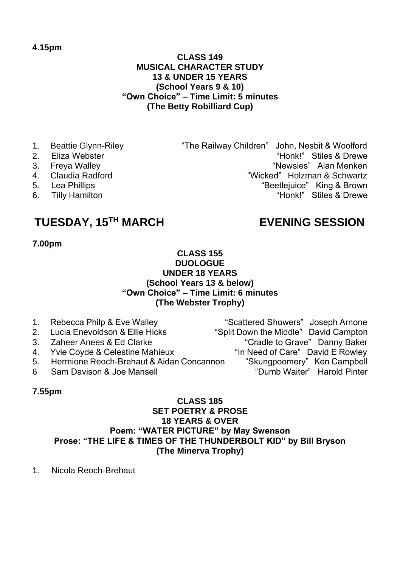## **CLASS 149 MUSICAL CHARACTER STUDY 13 & UNDER 15 YEARS (School Years 9 & 10) "Own Choice" – Time Limit: 5 minutes (The Betty Robilliard Cup)**

- 1. Beattie Glynn-Riley "The Railway Children" John, Nesbit & Woolford
- 2. Eliza Webster "Honk!" Stiles & Drewe
- 
- 3. Freya Walley "Newsies" Alan Menken<br>4. Claudia Radford "Nicked" Holzman & Schwartz 4. Claudia Radford **1988 12 Claudia Radford** 1. Claudia Radford 1. Claudia Radford 1. Claudia 1. Claudia 1. Claudia 1. Claudia 1. Claudia 1. Claudia 1. Claudia 1. Claudia 1. Claudia 1. Claudia 1. Claudia 1. Claudia 1. Clau
- 
- 6. Tilly Hamilton The Contract of the Contract of the Honk!" Stiles & Drewe

# **TUESDAY, 15TH MARCH EVENING SESSION**

"Beetlejuice" King & Brown

# **7.00pm**

## **CLASS 155 DUOLOGUE UNDER 18 YEARS (School Years 13 & below) "Own Choice" – Time Limit: 6 minutes (The Webster Trophy)**

- 1. Rebecca Philp & Eve Walley "Scattered Showers" Joseph Arnone 2. Lucia Enevoldson & Ellie Hicks "Split Down the Middle" David Campton 3. Zaheer Anees & Ed Clarke "Cradle to Grave" Danny Baker<br>4. Yvie Coyde & Celestine Mahieux "In Need of Care" David E Rowley 4. Yvie Coyde & Celestine Mahieux "In Need of Care" David E Rowley<br>5. Hermione Reoch-Brehaut & Aidan Concannon "Skungpoomery" Ken Campbell
- 5. Hermione Reoch-Brehaut & Aidan Concannon
- 6 Sam Davison & Joe Mansell "Dumb Waiter" Harold Pinter

# **7.55pm**

## **CLASS 185 SET POETRY & PROSE 18 YEARS & OVER Poem: "WATER PICTURE" by May Swenson Prose: "THE LIFE & TIMES OF THE THUNDERBOLT KID" by Bill Bryson (The Minerva Trophy)**

1. Nicola Reoch-Brehaut

**4.15pm**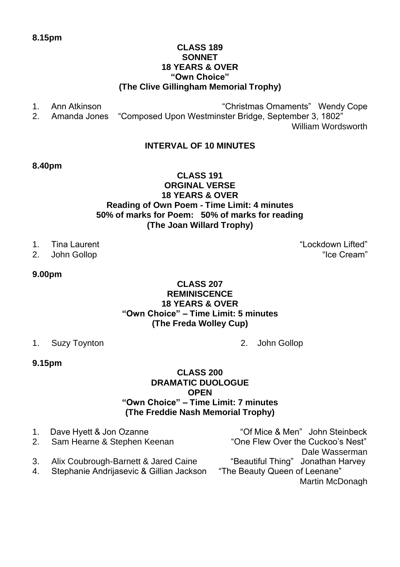## **8.15pm**

# **CLASS 189 SONNET 18 YEARS & OVER "Own Choice" (The Clive Gillingham Memorial Trophy)**

1. Ann Atkinson **1. Ann Atkinson** sensor and the sensual metal wendy Cope "Christmas Ornaments" Wendy Cope 2. Amanda Jones "Composed Upon Westminster Bridge. September 3. 1802" "Composed Upon Westminster Bridge, September 3, 1802" William Wordsworth

# **INTERVAL OF 10 MINUTES**

## **8.40pm**

## **CLASS 191 ORGINAL VERSE 18 YEARS & OVER Reading of Own Poem - Time Limit: 4 minutes 50% of marks for Poem: 50% of marks for reading (The Joan Willard Trophy)**

- 
- 

## **9.00pm**

## **CLASS 207 REMINISCENCE 18 YEARS & OVER "Own Choice" – Time Limit: 5 minutes (The Freda Wolley Cup)**

- 1. Suzy Toynton 2. John Gollop
	-

#### **9.15pm**

## **CLASS 200 DRAMATIC DUOLOGUE OPEN "Own Choice" – Time Limit: 7 minutes (The Freddie Nash Memorial Trophy)**

|    | 1. Dave Hyett & Jon Ozanne               | "Of Mice & Men" John Steinbeck    |
|----|------------------------------------------|-----------------------------------|
|    | 2. Sam Hearne & Stephen Keenan           | "One Flew Over the Cuckoo's Nest" |
|    |                                          | Dale Wasserman                    |
|    | 3. Alix Coubrough-Barnett & Jared Caine  | "Beautiful Thing" Jonathan Harvey |
| 4. | Stephanie Andrijasevic & Gillian Jackson | "The Beauty Queen of Leenane"     |
|    |                                          | Martin McDonagh                   |
|    |                                          |                                   |

1. Tina Laurent **The Contract Contract Contract Contract Contract Contract Contract Contract Contract Contract Contract Contract Contract Contract Contract Contract Contract Contract Contract Contract Contract Contract Con** 2. John Gollop "Ice Cream"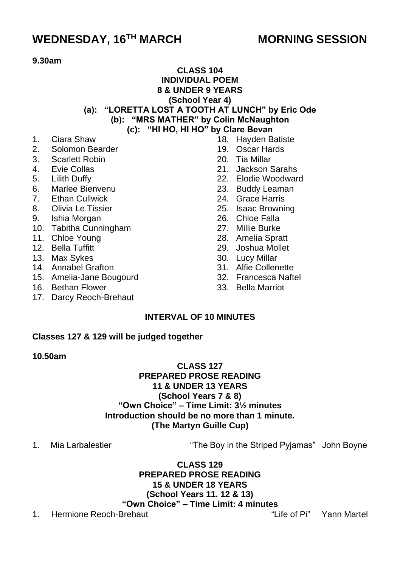# **WEDNESDAY, 16TH MARCH MORNING SESSION**

# **9.30am**

# **CLASS 104 INDIVIDUAL POEM 8 & UNDER 9 YEARS (School Year 4) (a): "LORETTA LOST A TOOTH AT LUNCH" by Eric Ode**

- **(b): "MRS MATHER" by Colin McNaughton**
	- **(c): "HI HO, HI HO" by Clare Bevan**
- 1. Ciara Shaw<br>2. Solomon Be
- 2. Solomon Bearder
- 3. Scarlett Robin
- 4. Evie Collas
- 5. Lilith Duffy
- 6. Marlee Bienvenu
- 7. Ethan Cullwick
- 8. Olivia Le Tissier
- 9. Ishia Morgan
- 10. Tabitha Cunningham
- 11. Chloe Young
- 12. Bella Tuffitt
- 13. Max Sykes
- 14. Annabel Grafton
- 15. Amelia-Jane Bougourd
- 16. Bethan Flower
- 17. Darcy Reoch-Brehaut
- 18. Hayden Batiste
- 19. Oscar Hards
- 20. Tia Millar
- 21. Jackson Sarahs
- 22. Elodie Woodward
- 23. Buddy Leaman
- 24. Grace Harris
- 25. Isaac Browning
- 26. Chloe Falla
- 27. Millie Burke
- 28. Amelia Spratt
- 29. Joshua Mollet
- 30. Lucy Millar
- 31. Alfie Collenette
- 32. Francesca Naftel
- 33. Bella Marriot

# **INTERVAL OF 10 MINUTES**

#### **Classes 127 & 129 will be judged together**

#### **10.50am**

# **CLASS 127 PREPARED PROSE READING 11 & UNDER 13 YEARS (School Years 7 & 8) "Own Choice" – Time Limit: 3½ minutes Introduction should be no more than 1 minute. (The Martyn Guille Cup)**

1. Mia Larbalestier "The Boy in the Striped Pyjamas" John Boyne

**CLASS 129 PREPARED PROSE READING 15 & UNDER 18 YEARS (School Years 11. 12 & 13) "Own Choice" – Time Limit: 4 minutes**

1. Hermione Reoch-Brehaut "Life of Pi" Yann Martel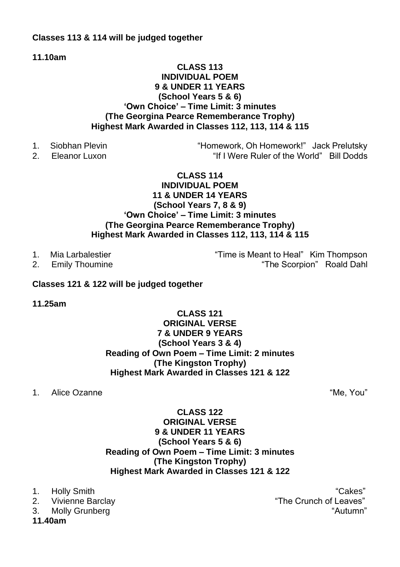# **Classes 113 & 114 will be judged together**

**11.10am**

# **CLASS 113 INDIVIDUAL POEM 9 & UNDER 11 YEARS (School Years 5 & 6) 'Own Choice' – Time Limit: 3 minutes (The Georgina Pearce Rememberance Trophy) Highest Mark Awarded in Classes 112, 113, 114 & 115**

- 
- 

1. Siobhan Plevin "Homework, Oh Homework!" Jack Prelutsky 2. Eleanor Luxon "If I Were Ruler of the World" Bill Dodds

# **CLASS 114 INDIVIDUAL POEM 11 & UNDER 14 YEARS (School Years 7, 8 & 9) 'Own Choice' – Time Limit: 3 minutes (The Georgina Pearce Rememberance Trophy) Highest Mark Awarded in Classes 112, 113, 114 & 115**

1. Mia Larbalestier "Time is Meant to Heal" Kim Thompson 2. Emily Thoumine "The Scorpion" Roald Dahl

# **Classes 121 & 122 will be judged together**

**11.25am**

# **CLASS 121 ORIGINAL VERSE 7 & UNDER 9 YEARS (School Years 3 & 4) Reading of Own Poem – Time Limit: 2 minutes (The Kingston Trophy) Highest Mark Awarded in Classes 121 & 122**

1. Alice Ozanne "Me, You"

# **CLASS 122 ORIGINAL VERSE 9 & UNDER 11 YEARS (School Years 5 & 6) Reading of Own Poem – Time Limit: 3 minutes (The Kingston Trophy) Highest Mark Awarded in Classes 121 & 122**

**11.40am**

1. Holly Smith "Cakes" 2. Vivienne Barclay "The Crunch of Leaves" 3. Molly Grunberg  $\blacksquare$   $\blacksquare$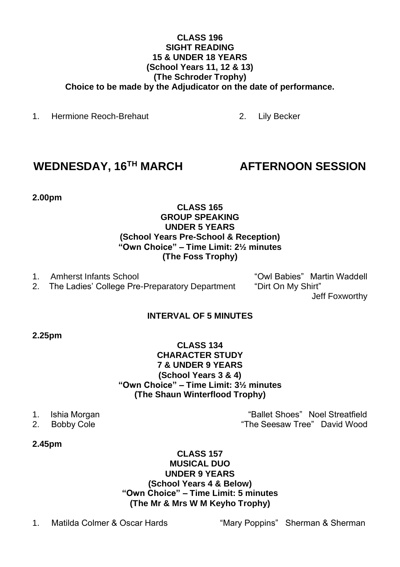## **CLASS 196 SIGHT READING 15 & UNDER 18 YEARS (School Years 11, 12 & 13) (The Schroder Trophy) Choice to be made by the Adjudicator on the date of performance.**

1. Hermione Reoch-Brehaut 2. Lily Becker

# **WEDNESDAY, 16TH MARCH AFTERNOON SESSION**

**2.00pm**

# **CLASS 165 GROUP SPEAKING UNDER 5 YEARS (School Years Pre-School & Reception) "Own Choice" – Time Limit: 2½ minutes (The Foss Trophy)**

1. Amherst Infants School **1. Amherst Infants School community** "Owl Babies" Martin Waddell 2. The Ladies' College Pre-Preparatory Department "Dirt On My Shirt"

2. The Ladies' College Pre-Preparatory Department

Jeff Foxworthy

# **INTERVAL OF 5 MINUTES**

# **2.25pm**

# **CLASS 134 CHARACTER STUDY 7 & UNDER 9 YEARS (School Years 3 & 4) "Own Choice" – Time Limit: 3½ minutes (The Shaun Winterflood Trophy)**

- 
- 

1. Ishia Morgan "Ballet Shoes" Noel Streatfield 2. Bobby Cole "The Seesaw Tree" David Wood

# **2.45pm**

## **CLASS 157 MUSICAL DUO UNDER 9 YEARS (School Years 4 & Below) "Own Choice" – Time Limit: 5 minutes (The Mr & Mrs W M Keyho Trophy)**

1. Matilda Colmer & Oscar Hards "Mary Poppins" Sherman & Sherman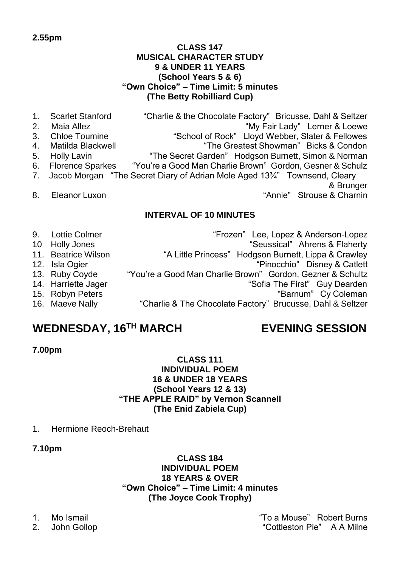## **CLASS 147 MUSICAL CHARACTER STUDY 9 & UNDER 11 YEARS (School Years 5 & 6) "Own Choice" – Time Limit: 5 minutes (The Betty Robilliard Cup)**

| 1.<br>2.       | <b>Scarlet Stanford</b> | "Charlie & the Chocolate Factory" Bricusse, Dahl & Seltzer                  |
|----------------|-------------------------|-----------------------------------------------------------------------------|
|                | Maia Allez              | "My Fair Lady" Lerner & Loewe                                               |
| 3.             | <b>Chloe Toumine</b>    | "School of Rock" Lloyd Webber, Slater & Fellowes                            |
| 4 <sup>1</sup> | Matilda Blackwell       | "The Greatest Showman" Bicks & Condon                                       |
| 5.             | <b>Holly Lavin</b>      | "The Secret Garden" Hodgson Burnett, Simon & Norman                         |
|                | 6. Florence Sparkes     | "You're a Good Man Charlie Brown" Gordon, Gesner & Schulz                   |
|                |                         | 7. Jacob Morgan "The Secret Diary of Adrian Mole Aged 13%" Townsend, Cleary |
|                |                         | & Brunger                                                                   |
| 8.             | Eleanor Luxon           | "Annie" Strouse & Charnin                                                   |
|                |                         | <b>INTERVAL OF 10 MINUTES</b>                                               |

9. Lottie Colmer "Frozen" Lee, Lopez & Anderson-Lopez 10 Holly Jones "Seussical" Ahrens & Flaherty 11. Beatrice Wilson "A Little Princess" Hodgson Burnett, Lippa & Crawley<br>12. Isla Ogier (1996) "A Little Princess" Hodgson Burnett, Lippa & Catlett 12. Isla Ogier "Pinocchio" Disney & Catlett<br>13. Ruby Coyde "You're a Good Man Charlie Brown" Gordon, Gezner & Schultz 13. Ruby Coyde "You're a Good Man Charlie Brown" Gordon, Gezner & Schultz "Sofia The First" Guy Dearden 15. Robyn Peters **The Coleman Cy Coleman** "Barnum" Cy Coleman 16. Maeve Nally "Charlie & The Chocolate Factory" Brucusse, Dahl & Seltzer

# **WEDNESDAY, 16TH MARCH EVENING SESSION**

**7.00pm**

# **CLASS 111 INDIVIDUAL POEM 16 & UNDER 18 YEARS (School Years 12 & 13) "THE APPLE RAID" by Vernon Scannell (The Enid Zabiela Cup)**

- 1. Hermione Reoch-Brehaut
- **7.10pm**

**CLASS 184 INDIVIDUAL POEM 18 YEARS & OVER "Own Choice" – Time Limit: 4 minutes (The Joyce Cook Trophy)**

1. Mo Ismail "To a Mouse" Robert Burns 2. John Gollop **Contract Contract Contract Contract Contract Contract Contract Contract Contract Contract Contract Contract Contract Contract Contract Contract Contract Contract Contract Contract Contract Contract Contract**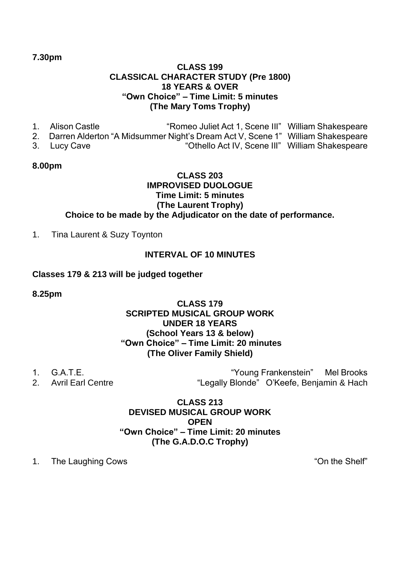## **7.30pm**

# **CLASS 199 CLASSICAL CHARACTER STUDY (Pre 1800) 18 YEARS & OVER "Own Choice" – Time Limit: 5 minutes (The Mary Toms Trophy)**

- 1. Alison Castle "Romeo Juliet Act 1, Scene III" William Shakespeare 2. Darren Alderton "A Midsummer Night's Dream Act V, Scene 1" William Shakespeare 3. Lucy Cave "Othello Act IV, Scene III" William Shakespeare
- **8.00pm**

# **CLASS 203 IMPROVISED DUOLOGUE Time Limit: 5 minutes (The Laurent Trophy) Choice to be made by the Adjudicator on the date of performance.**

1. Tina Laurent & Suzy Toynton

# **INTERVAL OF 10 MINUTES**

## **Classes 179 & 213 will be judged together**

#### **8.25pm**

# **CLASS 179 SCRIPTED MUSICAL GROUP WORK UNDER 18 YEARS (School Years 13 & below) "Own Choice" – Time Limit: 20 minutes (The Oliver Family Shield)**

- 
- 

1. G.A.T.E.<br>2. Avril Farl Centre 1990 (1990) "Hegally Blonde" O'Keefe Beniamin & Hach "Legally Blonde" O'Keefe, Benjamin & Hach

# **CLASS 213 DEVISED MUSICAL GROUP WORK OPEN "Own Choice" – Time Limit: 20 minutes (The G.A.D.O.C Trophy)**

1. The Laughing Cows The Shelf" and the Shelf"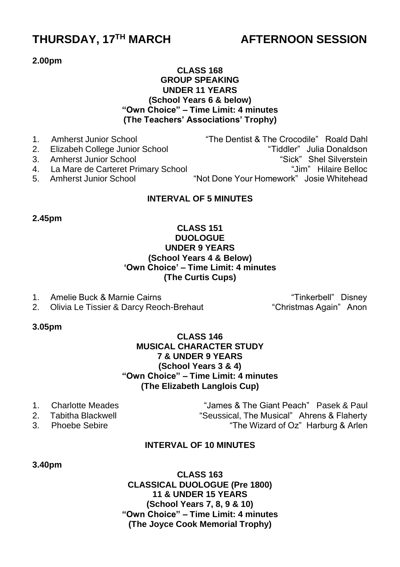# **THURSDAY, 17TH MARCH AFTERNOON SESSION**

#### **2.00pm**

# **CLASS 168 GROUP SPEAKING UNDER 11 YEARS (School Years 6 & below) "Own Choice" – Time Limit: 4 minutes (The Teachers' Associations' Trophy)**

| 1. Amherst Junior School              |  |  |  | "The Dentist & The Crocodile" Roald Dahl |  |
|---------------------------------------|--|--|--|------------------------------------------|--|
| 2. Elizabeh College Junior School     |  |  |  | "Tiddler" Julia Donaldson                |  |
| 3. Amherst Junior School              |  |  |  | "Sick" Shel Silverstein                  |  |
| 4. La Mare de Carteret Primary School |  |  |  | "Jim" Hilaire Belloc                     |  |
|                                       |  |  |  |                                          |  |

5. Amherst Junior School "Not Done Your Homework" Josie Whitehead

# **INTERVAL OF 5 MINUTES**

**2.45pm**

## **CLASS 151 DUOLOGUE UNDER 9 YEARS (School Years 4 & Below) 'Own Choice' – Time Limit: 4 minutes (The Curtis Cups)**

- 
- 2. Olivia Le Tissier & Darcy Reoch-Brehaut

1. Amelie Buck & Marnie Cairns "Tinkerbell" Disney "Tinkerbell" Disney<br>2. Olivia Le Tissier & Darcy Reoch-Brehaut "Christmas Again" Anon

#### **3.05pm**

# **CLASS 146 MUSICAL CHARACTER STUDY 7 & UNDER 9 YEARS (School Years 3 & 4) "Own Choice" – Time Limit: 4 minutes (The Elizabeth Langlois Cup)**

- 
- 
- 

1. Charlotte Meades "James & The Giant Peach" Pasek & Paul 2. Tabitha Blackwell **The Seussical, The Musical**" Ahrens & Flaherty 3. Phoebe Sebire "The Wizard of Oz" Harburg & Arlen

# **INTERVAL OF 10 MINUTES**

#### **3.40pm**

**CLASS 163 CLASSICAL DUOLOGUE (Pre 1800) 11 & UNDER 15 YEARS (School Years 7, 8, 9 & 10) "Own Choice" – Time Limit: 4 minutes (The Joyce Cook Memorial Trophy)**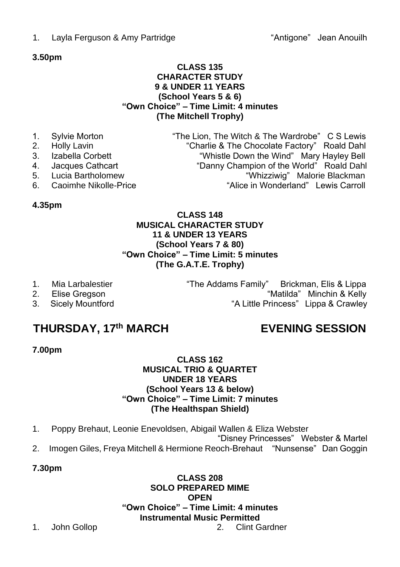1. Layla Ferguson & Amy Partridge The State of "Antigone" Jean Anouilh

# **3.50pm**

# **CLASS 135 CHARACTER STUDY 9 & UNDER 11 YEARS (School Years 5 & 6) "Own Choice" – Time Limit: 4 minutes (The Mitchell Trophy)**

- 1. Sylvie Morton **1. Sylvie Morton 1.** "The Lion, The Witch & The Wardrobe" C S Lewis 2. Holly Lavin
- 
- 2. Holly Lavin "Charlie & The Chocolate Factory" Roald Dahl 3. Izabella Corbett "Whistle Down the Wind" Mary Hayley Bell
- 4. Jacques Cathcart "Danny Champion of the World" Roald Dahl
- 
- Eucia Bartholomew<br>5. Caoimhe Nikolle-Price<br>5. Caoimhe Nikolle-Price<br>5. Caoimhe Nikolle-Price 6. Caoimhe Nikolle-Price "Alice in Wonderland" Lewis Carroll

# **4.35pm**

# **CLASS 148 MUSICAL CHARACTER STUDY 11 & UNDER 13 YEARS (School Years 7 & 80) "Own Choice" – Time Limit: 5 minutes (The G.A.T.E. Trophy)**

- 1. Mia Larbalestier "The Addams Family" Brickman, Elis & Lippa
- 2. Elise Gregson **2. Elise Gregson** 2. **Elise Gregson**
- 3. Sicely Mountford "A Little Princess" Lippa & Crawley

# **THURSDAY, 17th MARCH EVENING SESSION**

# **7.00pm**

# **CLASS 162 MUSICAL TRIO & QUARTET UNDER 18 YEARS (School Years 13 & below) "Own Choice" – Time Limit: 7 minutes (The Healthspan Shield)**

1. Poppy Brehaut, Leonie Enevoldsen, Abigail Wallen & Eliza Webster

"Disney Princesses" Webster & Martel 2. Imogen Giles, Freya Mitchell & Hermione Reoch-Brehaut "Nunsense" Dan Goggin

**7.30pm**

**CLASS 208 SOLO PREPARED MIME OPEN "Own Choice" – Time Limit: 4 minutes Instrumental Music Permitted**  1. John Gollop 2. Clint Gardner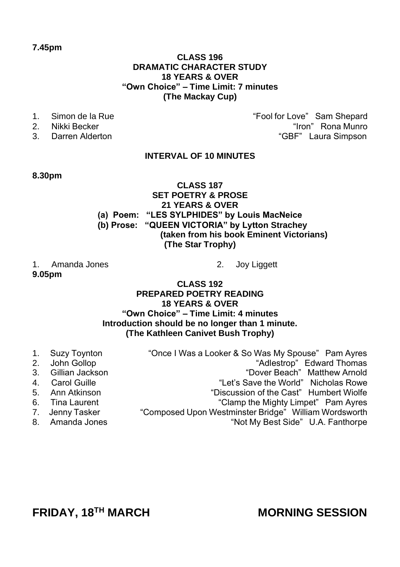# **7.45pm**

## **CLASS 196 DRAMATIC CHARACTER STUDY 18 YEARS & OVER "Own Choice" – Time Limit: 7 minutes (The Mackay Cup)**

- 
- 
- 

1. Simon de la Rue 1. In the second term of the same "Fool for Love" Sam Shepard<br>2. Nikki Becker 1. In the second term in the second term in the second term in the second term in the second t 2. Nikki Becker "Iron" Rona Munro" (1999)<br>2. Darren Alderton (1999) - "Iron" Rona Munro" (1997) - "SBF" Laura Simpson "GBF" Laura Simpson

# **INTERVAL OF 10 MINUTES**

## **8.30pm**

# **CLASS 187 SET POETRY & PROSE 21 YEARS & OVER (a) Poem: "LES SYLPHIDES" by Louis MacNeice (b) Prose: "QUEEN VICTORIA" by Lytton Strachey (taken from his book Eminent Victorians) (The Star Trophy)**

1. Amanda Jones 2. Joy Liggett **9.05pm**

## **CLASS 192 PREPARED POETRY READING 18 YEARS & OVER "Own Choice" – Time Limit: 4 minutes Introduction should be no longer than 1 minute. (The Kathleen Canivet Bush Trophy)**

| "Once I Was a Looker & So Was My Spouse" Pam Ayres                                                                                                     |
|--------------------------------------------------------------------------------------------------------------------------------------------------------|
| "Adlestrop" Edward Thomas                                                                                                                              |
| "Dover Beach" Matthew Arnold                                                                                                                           |
| "Let's Save the World" Nicholas Rowe                                                                                                                   |
| "Discussion of the Cast" Humbert Wiolfe                                                                                                                |
| "Clamp the Mighty Limpet" Pam Ayres                                                                                                                    |
| "Composed Upon Westminster Bridge" William Wordsworth                                                                                                  |
| "Not My Best Side" U.A. Fanthorpe                                                                                                                      |
| 1. Suzy Toynton<br>2. John Gollop<br>3. Gillian Jackson<br>4. Carol Guille<br>5. Ann Atkinson<br>6. Tina Laurent<br>7. Jenny Tasker<br>8. Amanda Jones |

**FRIDAY, 18TH MARCH MORNING SESSION**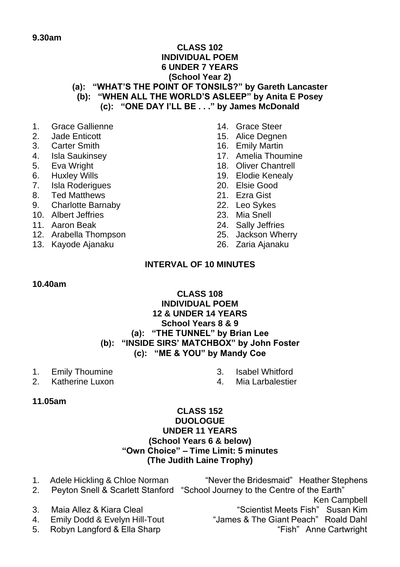# **9.30am**

# **CLASS 102 INDIVIDUAL POEM 6 UNDER 7 YEARS (School Year 2)**

**(a): "WHAT'S THE POINT OF TONSILS?" by Gareth Lancaster (b): "WHEN ALL THE WORLD'S ASLEEP" by Anita E Posey (c): "ONE DAY I'LL BE . . ." by James McDonald**

- 1. Grace Gallienne<br>2. Jade Enticott
- 2. Jade Enticott
- 3. Carter Smith
- 4. Isla Saukinsey
- 5. Eva Wright
- 6. Huxley Wills
- 7. Isla Roderigues
- 8. Ted Matthews
- 9. Charlotte Barnaby
- 10. Albert Jeffries
- 11. Aaron Beak
- 12. Arabella Thompson
- 13. Kayode Ajanaku
- 14. Grace Steer
- 15. Alice Degnen
- 16. Emily Martin
- 17. Amelia Thoumine
- 18. Oliver Chantrell
- 19. Elodie Kenealy
- 20. Elsie Good
- 21. Ezra Gist
- 22. Leo Sykes
- 23. Mia Snell
- 24. Sally Jeffries
- 25. Jackson Wherry
- 26. Zaria Ajanaku

# **INTERVAL OF 10 MINUTES**

#### **10.40am**

# **CLASS 108 INDIVIDUAL POEM 12 & UNDER 14 YEARS School Years 8 & 9 (a): "THE TUNNEL" by Brian Lee (b): "INSIDE SIRS' MATCHBOX" by John Foster (c): "ME & YOU" by Mandy Coe**

- 1. Emily Thoumine<br>2. Katherine Luxon
- Katherine Luxon

3. Isabel Whitford<br>4 Mia Larbalestie Mia Larbalestier

**11.05am**

# **CLASS 152 DUOLOGUE UNDER 11 YEARS (School Years 6 & below) "Own Choice" – Time Limit: 5 minutes (The Judith Laine Trophy)**

1. Adele Hickling & Chloe Norman "Never the Bridesmaid" Heather Stephens 2. Peyton Snell & Scarlett Stanford "School Journey to the Centre of the Earth" Ken Campbell 3. Maia Allez & Kiara Cleal "Scientist Meets Fish" Susan Kim 4. Emily Dodd & Evelyn Hill-Tout "James & The Giant Peach" Roald Dahl 5. Robyn Langford & Ella Sharp "Fish" Anne Cartwright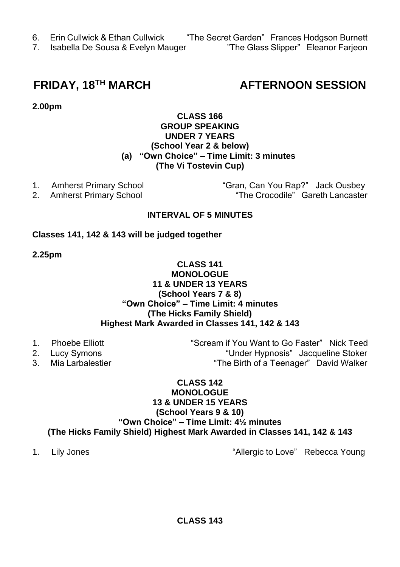- 6. Erin Cullwick & Ethan Cullwick "The Secret Garden" Frances Hodgson Burnett
- 7. Isabella De Sousa & Evelyn Mauger

# **FRIDAY, 18TH MARCH AFTERNOON SESSION**

**2.00pm**

# **CLASS 166 GROUP SPEAKING UNDER 7 YEARS (School Year 2 & below) (a) "Own Choice" – Time Limit: 3 minutes (The Vi Tostevin Cup)**

1. Amherst Primary School "Gran, Can You Rap?" Jack Ousbey 2. Amherst Primary School "The Crocodile" Gareth Lancaster

# **INTERVAL OF 5 MINUTES**

# **Classes 141, 142 & 143 will be judged together**

**2.25pm**

## **CLASS 141 MONOLOGUE 11 & UNDER 13 YEARS (School Years 7 & 8) "Own Choice" – Time Limit: 4 minutes (The Hicks Family Shield) Highest Mark Awarded in Classes 141, 142 & 143**

- 
- 
- 

1. Phoebe Elliott "Scream if You Want to Go Faster" Nick Teed 2. Lucy Symons "Under Hypnosis" Jacqueline Stoker<br>3. Mia Larbalestier "The Birth of a Teenager" David Walker "The Birth of a Teenager" David Walker

# **CLASS 142 MONOLOGUE 13 & UNDER 15 YEARS (School Years 9 & 10) "Own Choice" – Time Limit: 4½ minutes (The Hicks Family Shield) Highest Mark Awarded in Classes 141, 142 & 143**

1. Lily Jones **The Contract Contract Contract Contract Contract Contract Contract Contract Contract Contract Contract Contract Contract Contract Contract Contract Contract Contract Contract Contract Contract Contract Contr**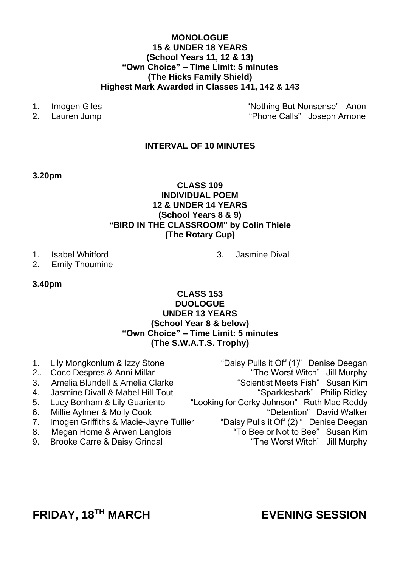## **MONOLOGUE 15 & UNDER 18 YEARS (School Years 11, 12 & 13) "Own Choice" – Time Limit: 5 minutes (The Hicks Family Shield) Highest Mark Awarded in Classes 141, 142 & 143**

- 
- 

1. Imogen Giles "Nothing But Nonsense" Anon<br>2. Lauren Jump - "Nothing But Nonsense" Anon 2. Lauren Jump "Phone Calls" Joseph Arnone

# **INTERVAL OF 10 MINUTES**

#### **3.20pm**

# **CLASS 109 INDIVIDUAL POEM 12 & UNDER 14 YEARS (School Years 8 & 9) "BIRD IN THE CLASSROOM" by Colin Thiele (The Rotary Cup)**

- 1. Isabel Whitford
- 2. Emily Thoumine

#### **3.40pm**

# **CLASS 153 DUOLOGUE UNDER 13 YEARS (School Year 8 & below) "Own Choice" – Time Limit: 5 minutes (The S.W.A.T.S. Trophy)**

- 
- 
- 3. Amelia Blundell & Amelia Clarke
- 
- 
- Millie Aylmer & Molly Cook
- 
- 
- 

1. Lily Mongkonlum & Izzy Stone "Daisy Pulls it Off (1)" Denise Deegan<br>2. Coco Despres & Anni Millar "The Worst Witch" Jill Murphy <sup>2.</sup> "The Worst Witch" Jill Murphy<br>Scientist Meets Fish" Susan Kim 4. Jasmine Divall & Mabel Hill-Tout<br>5. Lucy Bonham & Lily Guariento "Looking for Corky Johnson" Ruth Mae Roddy 5. Lucy Bonham & Lily Guariento "Looking for Corky Johnson" Ruth Mae Roddy<br>6. Millie Avlmer & Molly Cook ("Detention" David Walker 7. Imogen Griffiths & Macie-Jayne Tullier "Daisy Pulls it Off (2) " Denise Deegan 8. Megan Home & Arwen Langlois "To Bee or Not to Bee" Susan Kim 9. Brooke Carre & Daisy Grindal The Worst Witch "The Worst Witch" Jill Murphy

3. Jasmine Dival

# **FRIDAY, 18TH MARCH EVENING SESSION**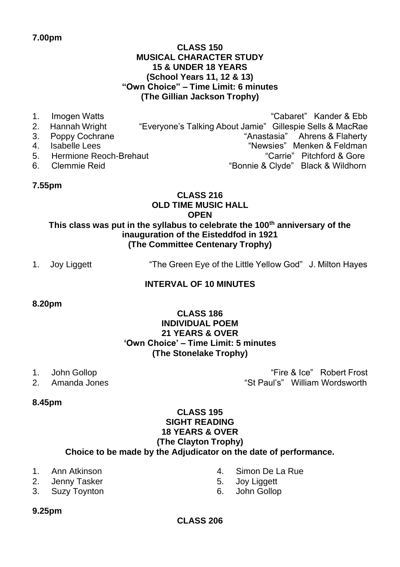# **CLASS 150 MUSICAL CHARACTER STUDY 15 & UNDER 18 YEARS (School Years 11, 12 & 13) "Own Choice" – Time Limit: 6 minutes (The Gillian Jackson Trophy)**

1. Imogen Watts "Cabaret" Kander & Ebb<br>2. Hannah Wright ""Evervone's Talking About Jamie" Gillespie Sells & MacRae 2. Hannah Wright "Everyone's Talking About Jamie" Gillespie Sells & MacRae<br>3. Poppy Cochrane "Anastasia" Ahrens & Flaherty "Anastasia" Ahrens & Flaherty 4. Isabelle Lees The Communication of the "Newsies" Menken & Feldman 5. Hermione Reoch-Brehaut 1. The metal of the "Carrie" Pitchford & Gore<br>6. Clemmie Reid 1. The metal "Clude" Black & Wildhorn "Bonnie & Clyde" Black & Wildhorn

# **7.55pm**

# **CLASS 216 OLD TIME MUSIC HALL OPEN**

# **This class was put in the syllabus to celebrate the 100th anniversary of the inauguration of the Eisteddfod in 1921 (The Committee Centenary Trophy)**

1. Joy Liggett "The Green Eye of the Little Yellow God" J. Milton Hayes

# **INTERVAL OF 10 MINUTES**

# **8.20pm**

# **CLASS 186 INDIVIDUAL POEM 21 YEARS & OVER 'Own Choice' – Time Limit: 5 minutes (The Stonelake Trophy)**

- 1. John Gollop "Fire & Ice" Robert Frost
- 2. Amanda Jones "St Paul's" William Wordsworth

# **8.45pm**

## **CLASS 195 SIGHT READING 18 YEARS & OVER (The Clayton Trophy) Choice to be made by the Adjudicator on the date of performance.**

- 1. Ann Atkinson
- 2. Jenny Tasker
- 3. Suzy Toynton
- 4. Simon De La Rue<br>5. Joy Liggett
- 5. Joy Liggett
- 6. John Gollop

**9.25pm**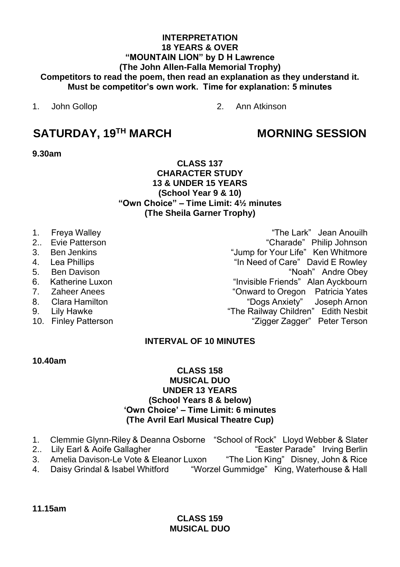# **INTERPRETATION 18 YEARS & OVER "MOUNTAIN LION" by D H Lawrence (The John Allen-Falla Memorial Trophy) Competitors to read the poem, then read an explanation as they understand it. Must be competitor's own work. Time for explanation: 5 minutes**

1. John Gollop 2. Ann Atkinson

# **SATURDAY, 19TH MARCH MORNING SESSION**

**9.30am**

## **CLASS 137 CHARACTER STUDY 13 & UNDER 15 YEARS (School Year 9 & 10) "Own Choice" – Time Limit: 4½ minutes (The Sheila Garner Trophy)**

- 
- 
- 
- 
- 
- 
- 
- 
- 
- 

1. Freya Walley "The Lark" Jean Anouilh 2.. Evie Patterson "Charade" Philip Johnson 3. Ben Jenkins "Jump for Your Life" Ken Whitmore 4. Lea Phillips "In Need of Care" David E Rowley "Noah" Andre Obey 6. Katherine Luxon **1988**<br> **6. Katherine Luxon** 1. Cather Anees **1. Communist Communist Converts 1. Communist Converts 1. Communist Communist Communist Communist Communist Communist Communist Communist Communist Communist** "Onward to Oregon Patricia Yates 8. Clara Hamilton "Dogs Anxiety" Joseph Arnon 9. Lily Hawke "The Railway Children" Edith Nesbit<br>10. Finlev Patterson "The Railway Children" Peter Terson "Zigger Zagger" Peter Terson

# **INTERVAL OF 10 MINUTES**

# **10.40am**

# **CLASS 158 MUSICAL DUO UNDER 13 YEARS (School Years 8 & below) 'Own Choice' – Time Limit: 6 minutes (The Avril Earl Musical Theatre Cup)**

- 1. Clemmie Glynn-Riley & Deanna Osborne "School of Rock" Lloyd Webber & Slater<br>2.. Lily Earl & Aoife Gallagher "Easter Parade" Irving Berlin "Easter Parade" Irving Berlin
- - 3. Amelia Davison-Le Vote & Eleanor Luxon "The Lion King" Disney, John & Rice
	- 4. Daisy Grindal & Isabel Whitford "Worzel Gummidge" King, Waterhouse & Hall

**11.15am**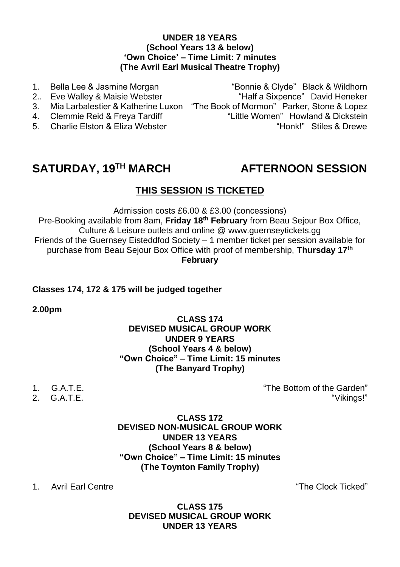# **UNDER 18 YEARS (School Years 13 & below) 'Own Choice' – Time Limit: 7 minutes (The Avril Earl Musical Theatre Trophy)**

1. Bella Lee & Jasmine Morgan "Bonnie & Clyde" Black & Wildhorn<br>2. Eve Walley & Maisie Webster ""Half a Sixpence" David Heneker "Half a Sixpence" David Heneker 3. Mia Larbalestier & Katherine Luxon "The Book of Mormon" Parker, Stone & Lopez 4. Clemmie Reid & Freya Tardiff "Little Women" Howland & Dickstein<br>5. Charlie Flston & Fliza Webster "Honk!" Stiles & Drewe 5. Charlie Elston & Eliza Webster

# **SATURDAY, 19TH MARCH AFTERNOON SESSION**

# **THIS SESSION IS TICKETED**

Admission costs £6.00 & £3.00 (concessions)

Pre-Booking available from 8am, **Friday 18th February** from Beau Sejour Box Office, Culture & Leisure outlets and online [@ www.guernseytickets.gg](http://www.guernseytickets.gg/) Friends of the Guernsey Eisteddfod Society – 1 member ticket per session available for purchase from Beau Sejour Box Office with proof of membership, **Thursday 17th February**

# **Classes 174, 172 & 175 will be judged together**

**2.00pm**

# **CLASS 174 DEVISED MUSICAL GROUP WORK UNDER 9 YEARS (School Years 4 & below) "Own Choice" – Time Limit: 15 minutes (The Banyard Trophy)**

- 
- $2. G.A.T.F.$

1. G.A.T.E. "The Bottom of the Garden"

**CLASS 172 DEVISED NON-MUSICAL GROUP WORK UNDER 13 YEARS (School Years 8 & below) "Own Choice" – Time Limit: 15 minutes (The Toynton Family Trophy)**

1. Avril Earl Centre "The Clock Ticked"

**CLASS 175 DEVISED MUSICAL GROUP WORK UNDER 13 YEARS**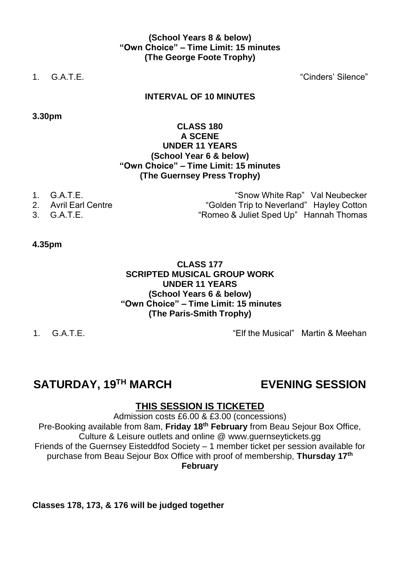# **(School Years 8 & below) "Own Choice" – Time Limit: 15 minutes (The George Foote Trophy)**

1. G.A.T.E. "Cinders' Silence"

# **INTERVAL OF 10 MINUTES**

**3.30pm**

# **CLASS 180 A SCENE UNDER 11 YEARS (School Year 6 & below) "Own Choice" – Time Limit: 15 minutes (The Guernsey Press Trophy)**

- 
- 
- 

1. G.A.T.E. "Snow White Rap" Val Neubecker 2. Avril Earl Centre Trip to Neverland" Hayley Cotton<br>2. G.A.T.E. San Filter School ("Romeo & Juliet Sped Up" Hannah Thomas "Romeo & Juliet Sped Up" Hannah Thomas

**4.35pm**

# **CLASS 177 SCRIPTED MUSICAL GROUP WORK UNDER 11 YEARS (School Years 6 & below) "Own Choice" – Time Limit: 15 minutes (The Paris-Smith Trophy)**

1. G.A.T.E. **In the Second Contract Contract Contract Contract Contract Contract Contract Contract Contract Contract Contract Contract Contract Contract Contract Contract Contract Contract Contract Contract Contract Contra** 

# **SATURDAY, 19TH MARCH EVENING SESSION**

# **THIS SESSION IS TICKETED**

Admission costs £6.00 & £3.00 (concessions) Pre-Booking available from 8am, **Friday 18th February** from Beau Sejour Box Office, Culture & Leisure outlets and online [@ www.guernseytickets.gg](http://www.guernseytickets.gg/) Friends of the Guernsey Eisteddfod Society – 1 member ticket per session available for purchase from Beau Sejour Box Office with proof of membership, **Thursday 17th February**

**Classes 178, 173, & 176 will be judged together**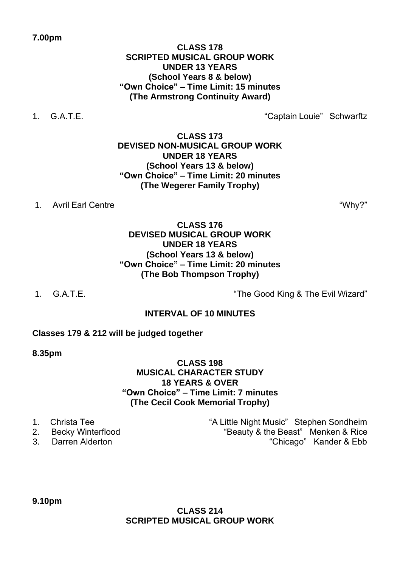# **CLASS 178 SCRIPTED MUSICAL GROUP WORK UNDER 13 YEARS (School Years 8 & below) "Own Choice" – Time Limit: 15 minutes (The Armstrong Continuity Award)**

1. G.A.T.E. "Captain Louie" Schwarftz

**CLASS 173 DEVISED NON-MUSICAL GROUP WORK UNDER 18 YEARS (School Years 13 & below) "Own Choice" – Time Limit: 20 minutes (The Wegerer Family Trophy)**

1. Avril Earl Centre "Why?"

# **CLASS 176 DEVISED MUSICAL GROUP WORK UNDER 18 YEARS (School Years 13 & below) "Own Choice" – Time Limit: 20 minutes (The Bob Thompson Trophy)**

1. G.A.T.E. "The Good King & The Evil Wizard"

# **INTERVAL OF 10 MINUTES**

# **Classes 179 & 212 will be judged together**

**8.35pm**

# **CLASS 198 MUSICAL CHARACTER STUDY 18 YEARS & OVER "Own Choice" – Time Limit: 7 minutes (The Cecil Cook Memorial Trophy)**

- 
- 
- 

1. Christa Tee The Stephen Sondheim is the Little Night Music" Stephen Sondheim 2. Becky Winterflood **Bulla Beauty & the Beast**" Menken & Rice 3. Darren Alderton "Chicago" Kander & Ebb

**9.10pm**

# **CLASS 214 SCRIPTED MUSICAL GROUP WORK**

# **7.00pm**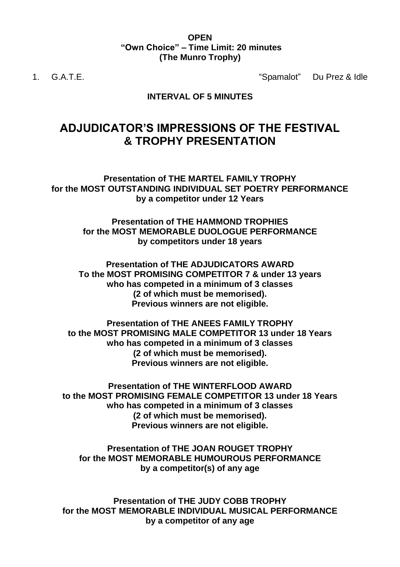## **OPEN "Own Choice" – Time Limit: 20 minutes (The Munro Trophy)**

1. G.A.T.E. "Spamalot" Du Prez & Idle

# **INTERVAL OF 5 MINUTES**

# **ADJUDICATOR'S IMPRESSIONS OF THE FESTIVAL & TROPHY PRESENTATION**

**Presentation of THE MARTEL FAMILY TROPHY for the MOST OUTSTANDING INDIVIDUAL SET POETRY PERFORMANCE by a competitor under 12 Years**

> **Presentation of THE HAMMOND TROPHIES for the MOST MEMORABLE DUOLOGUE PERFORMANCE by competitors under 18 years**

**Presentation of THE ADJUDICATORS AWARD To the MOST PROMISING COMPETITOR 7 & under 13 years who has competed in a minimum of 3 classes (2 of which must be memorised). Previous winners are not eligible.**

**Presentation of THE ANEES FAMILY TROPHY to the MOST PROMISING MALE COMPETITOR 13 under 18 Years who has competed in a minimum of 3 classes (2 of which must be memorised). Previous winners are not eligible.**

**Presentation of THE WINTERFLOOD AWARD to the MOST PROMISING FEMALE COMPETITOR 13 under 18 Years who has competed in a minimum of 3 classes (2 of which must be memorised). Previous winners are not eligible.**

**Presentation of THE JOAN ROUGET TROPHY for the MOST MEMORABLE HUMOUROUS PERFORMANCE by a competitor(s) of any age**

**Presentation of THE JUDY COBB TROPHY for the MOST MEMORABLE INDIVIDUAL MUSICAL PERFORMANCE by a competitor of any age**